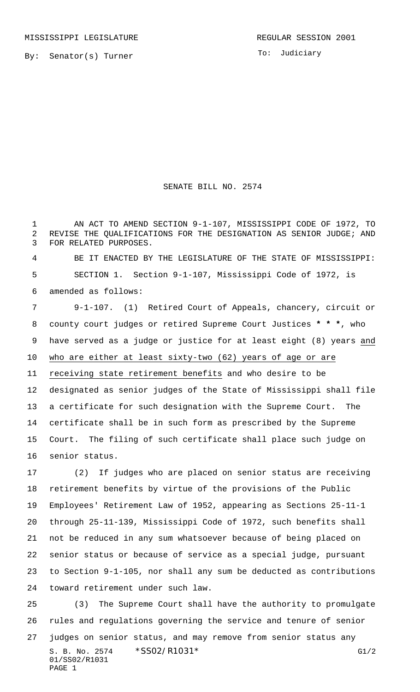To: Judiciary

## SENATE BILL NO. 2574

 AN ACT TO AMEND SECTION 9-1-107, MISSISSIPPI CODE OF 1972, TO REVISE THE QUALIFICATIONS FOR THE DESIGNATION AS SENIOR JUDGE; AND FOR RELATED PURPOSES.

 BE IT ENACTED BY THE LEGISLATURE OF THE STATE OF MISSISSIPPI: SECTION 1. Section 9-1-107, Mississippi Code of 1972, is amended as follows:

 9-1-107. (1) Retired Court of Appeals, chancery, circuit or county court judges or retired Supreme Court Justices **\* \* \***, who have served as a judge or justice for at least eight (8) years and who are either at least sixty-two (62) years of age or are receiving state retirement benefits and who desire to be designated as senior judges of the State of Mississippi shall file a certificate for such designation with the Supreme Court. The certificate shall be in such form as prescribed by the Supreme Court. The filing of such certificate shall place such judge on senior status.

 (2) If judges who are placed on senior status are receiving retirement benefits by virtue of the provisions of the Public Employees' Retirement Law of 1952, appearing as Sections 25-11-1 through 25-11-139, Mississippi Code of 1972, such benefits shall not be reduced in any sum whatsoever because of being placed on senior status or because of service as a special judge, pursuant to Section 9-1-105, nor shall any sum be deducted as contributions toward retirement under such law.

S. B. No. 2574 \* SS02/R1031 \* G1/2 01/SS02/R1031 PAGE 1 (3) The Supreme Court shall have the authority to promulgate rules and regulations governing the service and tenure of senior judges on senior status, and may remove from senior status any